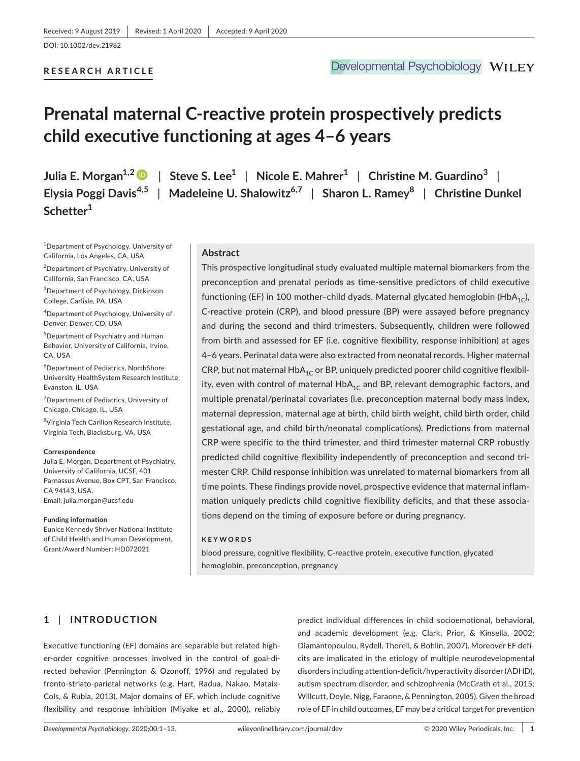#### **RESEARCH ARTICLE**

# **Prenatal maternal C-reactive protein prospectively predicts child executive functioning at ages 4–6 years**

**Schetter1**

**Julia E. Morgan1,[2](https://orcid.org/0000-0003-1835-9882)** | **Steve S. Lee1** | **Nicole E. Mahrer1** | **Christine M. Guardino<sup>3</sup>** | **Elysia Poggi Davis4,5** | **Madeleine U. Shalowitz6,7** | **Sharon L. Ramey<sup>8</sup>** | **Christine Dunkel** 

1 Department of Psychology, University of California, Los Angeles, CA, USA

2 Department of Psychiatry, University of California, San Francisco, CA, USA

3 Department of Psychology, Dickinson College, Carlisle, PA, USA

4 Department of Psychology, University of Denver, Denver, CO, USA

5 Department of Psychiatry and Human Behavior, University of California, Irvine, CA, USA

6 Department of Pediatrics, NorthShore University HealthSystem Research Institute, Evanston, IL, USA

7 Department of Pediatrics, University of Chicago, Chicago, IL, USA

8 Virginia Tech Carilion Research Institute, Virginia Tech, Blacksburg, VA, USA

#### **Correspondence**

Julia E. Morgan, Department of Psychiatry, University of California, UCSF, 401 Parnassus Avenue, Box CPT, San Francisco, CA 94143, USA. Email: [julia.morgan@ucsf.edu](mailto:julia.morgan@ucsf.edu)

#### **Funding information**

Eunice Kennedy Shriver National Institute of Child Health and Human Development, Grant/Award Number: HD072021

#### **Abstract**

This prospective longitudinal study evaluated multiple maternal biomarkers from the preconception and prenatal periods as time-sensitive predictors of child executive functioning (EF) in 100 mother-child dyads. Maternal glycated hemoglobin (HbA<sub>1C</sub>), C-reactive protein (CRP), and blood pressure (BP) were assayed before pregnancy and during the second and third trimesters. Subsequently, children were followed from birth and assessed for EF (i.e. cognitive flexibility, response inhibition) at ages 4–6 years. Perinatal data were also extracted from neonatal records. Higher maternal CRP, but not maternal  $HbA_{1C}$  or BP, uniquely predicted poorer child cognitive flexibility, even with control of maternal  $HbA_{1C}$  and BP, relevant demographic factors, and multiple prenatal/perinatal covariates (i.e. preconception maternal body mass index, maternal depression, maternal age at birth, child birth weight, child birth order, child gestational age, and child birth/neonatal complications). Predictions from maternal CRP were specific to the third trimester, and third trimester maternal CRP robustly predicted child cognitive flexibility independently of preconception and second trimester CRP. Child response inhibition was unrelated to maternal biomarkers from all time points. These findings provide novel, prospective evidence that maternal inflammation uniquely predicts child cognitive flexibility deficits, and that these associations depend on the timing of exposure before or during pregnancy.

#### **KEYWORDS**

blood pressure, cognitive flexibility, C-reactive protein, executive function, glycated hemoglobin, preconception, pregnancy

# **1** | **INTRODUCTION**

Executive functioning (EF) domains are separable but related higher-order cognitive processes involved in the control of goal-directed behavior (Pennington & Ozonoff, 1996) and regulated by fronto-striato-parietal networks (e.g. Hart, Radua, Nakao, Mataix-Cols, & Rubia, 2013). Major domains of EF, which include cognitive flexibility and response inhibition (Miyake et al., 2000), reliably

predict individual differences in child socioemotional, behavioral, and academic development (e.g. Clark, Prior, & Kinsella, 2002; Diamantopoulou, Rydell, Thorell, & Bohlin, 2007). Moreover EF deficits are implicated in the etiology of multiple neurodevelopmental disorders including attention-deficit/hyperactivity disorder (ADHD), autism spectrum disorder, and schizophrenia (McGrath et al., 2015; Willcutt, Doyle, Nigg, Faraone, & Pennington, 2005). Given the broad role of EF in child outcomes, EF may be a critical target for prevention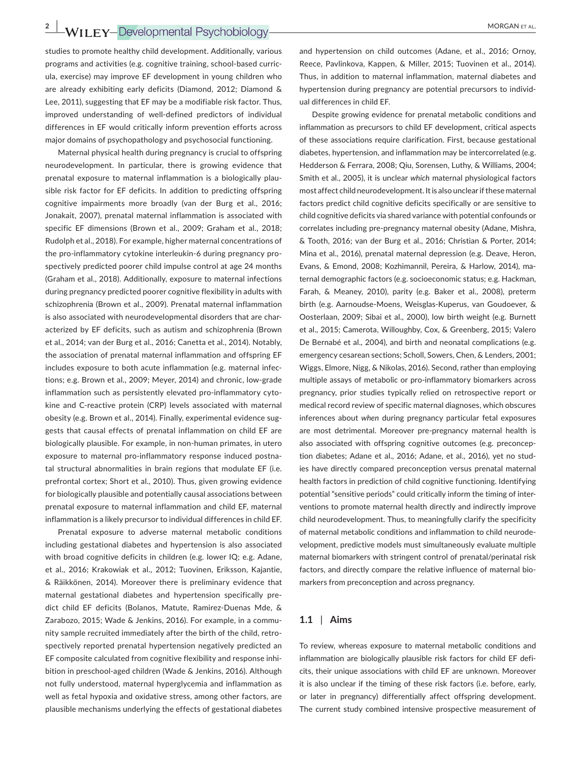**2**  $\frac{2}{\sqrt{15}}$  **WII** FY-Developmental Psychobiology **ADDETER MORGAN ET AL.** 

studies to promote healthy child development. Additionally, various programs and activities (e.g. cognitive training, school-based curricula, exercise) may improve EF development in young children who are already exhibiting early deficits (Diamond, 2012; Diamond & Lee, 2011), suggesting that EF may be a modifiable risk factor. Thus, improved understanding of well-defined predictors of individual differences in EF would critically inform prevention efforts across major domains of psychopathology and psychosocial functioning.

Maternal physical health during pregnancy is crucial to offspring neurodevelopment. In particular, there is growing evidence that prenatal exposure to maternal inflammation is a biologically plausible risk factor for EF deficits. In addition to predicting offspring cognitive impairments more broadly (van der Burg et al., 2016; Jonakait, 2007), prenatal maternal inflammation is associated with specific EF dimensions (Brown et al., 2009; Graham et al., 2018; Rudolph et al., 2018). For example, higher maternal concentrations of the pro-inflammatory cytokine interleukin-6 during pregnancy prospectively predicted poorer child impulse control at age 24 months (Graham et al., 2018). Additionally, exposure to maternal infections during pregnancy predicted poorer cognitive flexibility in adults with schizophrenia (Brown et al., 2009). Prenatal maternal inflammation is also associated with neurodevelopmental disorders that are characterized by EF deficits, such as autism and schizophrenia (Brown et al., 2014; van der Burg et al., 2016; Canetta et al., 2014). Notably, the association of prenatal maternal inflammation and offspring EF includes exposure to both acute inflammation (e.g. maternal infections; e.g. Brown et al., 2009; Meyer, 2014) and chronic, low-grade inflammation such as persistently elevated pro-inflammatory cytokine and C-reactive protein (CRP) levels associated with maternal obesity (e.g. Brown et al., 2014). Finally, experimental evidence suggests that causal effects of prenatal inflammation on child EF are biologically plausible. For example, in non-human primates, in utero exposure to maternal pro-inflammatory response induced postnatal structural abnormalities in brain regions that modulate EF (i.e. prefrontal cortex; Short et al., 2010). Thus, given growing evidence for biologically plausible and potentially causal associations between prenatal exposure to maternal inflammation and child EF, maternal inflammation is a likely precursor to individual differences in child EF.

Prenatal exposure to adverse maternal metabolic conditions including gestational diabetes and hypertension is also associated with broad cognitive deficits in children (e.g. lower IQ; e.g. Adane, et al., 2016; Krakowiak et al., 2012; Tuovinen, Eriksson, Kajantie, & Räikkönen, 2014). Moreover there is preliminary evidence that maternal gestational diabetes and hypertension specifically predict child EF deficits (Bolanos, Matute, Ramirez-Duenas Mde, & Zarabozo, 2015; Wade & Jenkins, 2016). For example, in a community sample recruited immediately after the birth of the child, retrospectively reported prenatal hypertension negatively predicted an EF composite calculated from cognitive flexibility and response inhibition in preschool-aged children (Wade & Jenkins, 2016). Although not fully understood, maternal hyperglycemia and inflammation as well as fetal hypoxia and oxidative stress, among other factors, are plausible mechanisms underlying the effects of gestational diabetes

and hypertension on child outcomes (Adane, et al., 2016; Ornoy, Reece, Pavlinkova, Kappen, & Miller, 2015; Tuovinen et al., 2014). Thus, in addition to maternal inflammation, maternal diabetes and hypertension during pregnancy are potential precursors to individual differences in child EF.

Despite growing evidence for prenatal metabolic conditions and inflammation as precursors to child EF development, critical aspects of these associations require clarification. First, because gestational diabetes, hypertension, and inflammation may be intercorrelated (e.g. Hedderson & Ferrara, 2008; Qiu, Sorensen, Luthy, & Williams, 2004; Smith et al., 2005), it is unclear *which* maternal physiological factors most affect child neurodevelopment. It is also unclear if these maternal factors predict child cognitive deficits specifically or are sensitive to child cognitive deficits via shared variance with potential confounds or correlates including pre-pregnancy maternal obesity (Adane, Mishra, & Tooth, 2016; van der Burg et al., 2016; Christian & Porter, 2014; Mina et al., 2016), prenatal maternal depression (e.g. Deave, Heron, Evans, & Emond, 2008; Kozhimannil, Pereira, & Harlow, 2014), maternal demographic factors (e.g. socioeconomic status; e.g. Hackman, Farah, & Meaney, 2010), parity (e.g. Baker et al., 2008), preterm birth (e.g. Aarnoudse-Moens, Weisglas-Kuperus, van Goudoever, & Oosterlaan, 2009; Sibai et al., 2000), low birth weight (e.g. Burnett et al., 2015; Camerota, Willoughby, Cox, & Greenberg, 2015; Valero De Bernabé et al., 2004), and birth and neonatal complications (e.g. emergency cesarean sections; Scholl, Sowers, Chen, & Lenders, 2001; Wiggs, Elmore, Nigg, & Nikolas, 2016). Second, rather than employing multiple assays of metabolic or pro-inflammatory biomarkers across pregnancy, prior studies typically relied on retrospective report or medical record review of specific maternal diagnoses, which obscures inferences about *when* during pregnancy particular fetal exposures are most detrimental. Moreover pre-pregnancy maternal health is also associated with offspring cognitive outcomes (e.g. preconception diabetes; Adane et al., 2016; Adane, et al., 2016), yet no studies have directly compared preconception versus prenatal maternal health factors in prediction of child cognitive functioning. Identifying potential "sensitive periods" could critically inform the timing of interventions to promote maternal health directly and indirectly improve child neurodevelopment. Thus, to meaningfully clarify the specificity of maternal metabolic conditions and inflammation to child neurodevelopment, predictive models must simultaneously evaluate multiple maternal biomarkers with stringent control of prenatal/perinatal risk factors, and directly compare the relative influence of maternal biomarkers from preconception and across pregnancy.

# **1.1** | **Aims**

To review, whereas exposure to maternal metabolic conditions and inflammation are biologically plausible risk factors for child EF deficits, their unique associations with child EF are unknown. Moreover it is also unclear if the timing of these risk factors (i.e. before, early, or later in pregnancy) differentially affect offspring development. The current study combined intensive prospective measurement of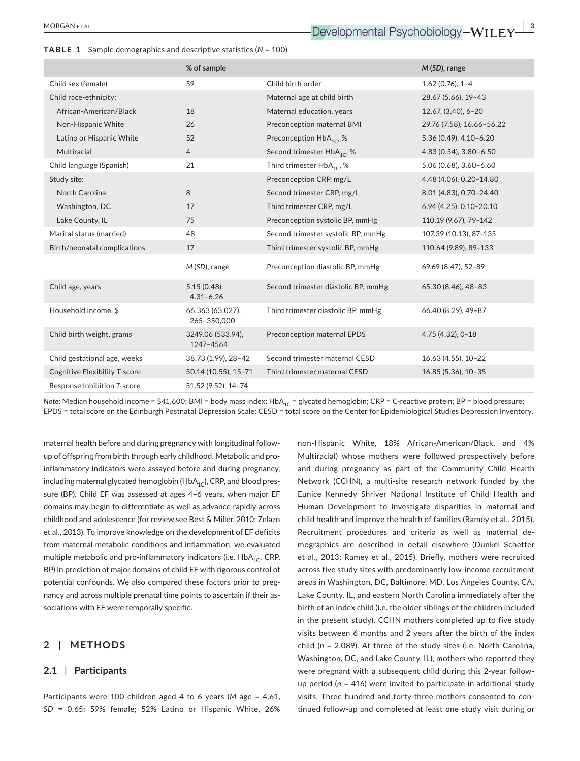|                               | % of sample                     |                                        | $M(SD)$ , range           |
|-------------------------------|---------------------------------|----------------------------------------|---------------------------|
| Child sex (female)            | 59                              | Child birth order                      | $1.62(0.76), 1 - 4$       |
| Child race-ethnicity:         |                                 | Maternal age at child birth            | 28.67 (5.66), 19-43       |
| African-American/Black        | 18                              | Maternal education, years              | 12.67, (3.40), 6-20       |
| Non-Hispanic White            | 26                              | Preconception maternal BMI             | 29.76 (7.58), 16.66-56.22 |
| Latino or Hispanic White      | 52                              | Preconception HbA <sub>1C</sub> , %    | $5.36(0.49), 4.10-6.20$   |
| Multiracial                   | $\overline{4}$                  | Second trimester HbA <sub>1C</sub> , % | 4.83 (0.54), 3.80-6.50    |
| Child language (Spanish)      | 21                              | Third trimester HbA <sub>1C</sub> , %  | $5.06(0.68), 3.60 - 6.60$ |
| Study site:                   |                                 | Preconception CRP, mg/L                | 4.48 (4.06), 0.20-14.80   |
| North Carolina                | 8                               | Second trimester CRP, mg/L             | 8.01 (4.83), 0.70-24.40   |
| Washington, DC                | 17                              | Third trimester CRP, mg/L              | 6.94 (4.25), 0.10-20.10   |
| Lake County, IL               | 75                              | Preconception systolic BP, mmHg        | 110.19 (9.67), 79-142     |
| Marital status (married)      | 48                              | Second trimester systolic BP, mmHg     | 107.39 (10.13), 87-135    |
| Birth/neonatal complications  | 17                              | Third trimester systolic BP, mmHg      | 110.64 (9.89), 89-133     |
|                               | M (SD), range                   | Preconception diastolic BP, mmHg       | 69.69 (8.47), 52-89       |
| Child age, years              | $5.15(0.48)$ ,<br>$4.31 - 6.26$ | Second trimester diastolic BP, mmHg    | 65.30 (8.46), 48-83       |
| Household income, \$          | 66,363 (63,027),<br>265-350,000 | Third trimester diastolic BP, mmHg     | 66.40 (8.29), 49-87       |
| Child birth weight, grams     | 3249.06 (533.94),<br>1247-4564  | Preconception maternal EPDS            | 4.75 (4.32), 0-18         |
| Child gestational age, weeks  | 38.73 (1.99), 28-42             | Second trimester maternal CESD         | 16.63 (4.55), 10-22       |
| Cognitive Flexibility T-score | 50.14 (10.55), 15-71            | Third trimester maternal CESD          | 16.85 (5.36), 10-35       |
| Response Inhibition T-score   | 51.52 (9.52), 14-74             |                                        |                           |

*Note: Median household income = \$41,600; BMI = body mass index; HbA<sub>1C</sub> = glycated hemoglobin; CRP = C-reactive protein; BP = blood pressure;* EPDS = total score on the Edinburgh Postnatal Depression Scale; CESD = total score on the Center for Epidemiological Studies Depression Inventory.

maternal health before and during pregnancy with longitudinal followup of offspring from birth through early childhood. Metabolic and proinflammatory indicators were assayed before and during pregnancy, including maternal glycated hemoglobin ( $HbA_{1C}$ ), CRP, and blood pressure (BP). Child EF was assessed at ages 4–6 years, when major EF domains may begin to differentiate as well as advance rapidly across childhood and adolescence (for review see Best & Miller, 2010; Zelazo et al., 2013). To improve knowledge on the development of EF deficits from maternal metabolic conditions and inflammation, we evaluated multiple metabolic and pro-inflammatory indicators (i.e.  $HbA_{1C}$ , CRP, BP) in prediction of major domains of child EF with rigorous control of potential confounds. We also compared these factors prior to pregnancy and across multiple prenatal time points to ascertain if their associations with EF were temporally specific.

# **2** | **METHODS**

## **2.1** | **Participants**

Participants were 100 children aged 4 to 6 years (*M* age = 4.61, *SD* = 0.65; 59% female; 52% Latino or Hispanic White, 26% non-Hispanic White, 18% African-American/Black, and 4% Multiracial) whose mothers were followed prospectively before and during pregnancy as part of the Community Child Health Network (CCHN), a multi-site research network funded by the Eunice Kennedy Shriver National Institute of Child Health and Human Development to investigate disparities in maternal and child health and improve the health of families (Ramey et al., 2015). Recruitment procedures and criteria as well as maternal demographics are described in detail elsewhere (Dunkel Schetter et al., 2013; Ramey et al., 2015). Briefly, mothers were recruited across five study sites with predominantly low-income recruitment areas in Washington, DC, Baltimore, MD, Los Angeles County, CA, Lake County, IL, and eastern North Carolina immediately after the birth of an index child (i.e. the older siblings of the children included in the present study). CCHN mothers completed up to five study visits between 6 months and 2 years after the birth of the index child (*n =* 2,089). At three of the study sites (i.e. North Carolina, Washington, DC, and Lake County, IL), mothers who reported they were pregnant with a subsequent child during this 2-year followup period (*n* = 416) were invited to participate in additional study visits. Three hundred and forty-three mothers consented to continued follow-up and completed at least one study visit during or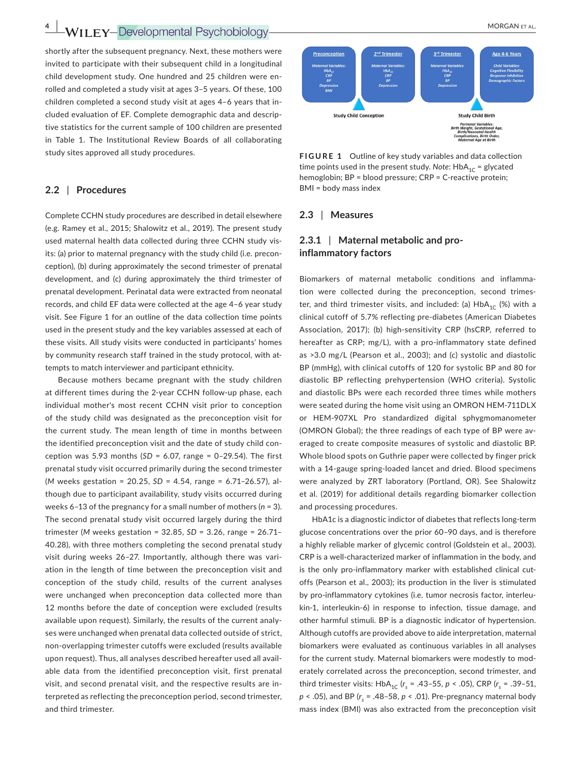**4**  $\blacksquare$  **WII** FY-Developmental Psychobiology MORGAN ET AL.

shortly after the subsequent pregnancy. Next, these mothers were invited to participate with their subsequent child in a longitudinal child development study. One hundred and 25 children were enrolled and completed a study visit at ages 3–5 years. Of these, 100 children completed a second study visit at ages 4–6 years that included evaluation of EF. Complete demographic data and descriptive statistics for the current sample of 100 children are presented in Table 1. The Institutional Review Boards of all collaborating study sites approved all study procedures.

#### **2.2** | **Procedures**

Complete CCHN study procedures are described in detail elsewhere (e.g. Ramey et al., 2015; Shalowitz et al., 2019). The present study used maternal health data collected during three CCHN study visits: (a) prior to maternal pregnancy with the study child (i.e. preconception), (b) during approximately the second trimester of prenatal development, and (c) during approximately the third trimester of prenatal development. Perinatal data were extracted from neonatal records, and child EF data were collected at the age 4–6 year study visit. See Figure 1 for an outline of the data collection time points used in the present study and the key variables assessed at each of these visits. All study visits were conducted in participants' homes by community research staff trained in the study protocol, with attempts to match interviewer and participant ethnicity.

Because mothers became pregnant with the study children at different times during the 2-year CCHN follow-up phase, each individual mother's most recent CCHN visit prior to conception of the study child was designated as the preconception visit for the current study. The mean length of time in months between the identified preconception visit and the date of study child conception was 5.93 months (*SD* = 6.07, range = 0–29.54). The first prenatal study visit occurred primarily during the second trimester (*M* weeks gestation = 20.25, *SD* = 4.54, range = 6.71–26.57), although due to participant availability, study visits occurred during weeks 6–13 of the pregnancy for a small number of mothers (*n* = 3). The second prenatal study visit occurred largely during the third trimester (*M* weeks gestation = 32.85, *SD* = 3.26, range = 26.71– 40.28), with three mothers completing the second prenatal study visit during weeks 26–27. Importantly, although there was variation in the length of time between the preconception visit and conception of the study child, results of the current analyses were unchanged when preconception data collected more than 12 months before the date of conception were excluded (results available upon request). Similarly, the results of the current analyses were unchanged when prenatal data collected outside of strict, non-overlapping trimester cutoffs were excluded (results available upon request). Thus, all analyses described hereafter used all available data from the identified preconception visit, first prenatal visit, and second prenatal visit, and the respective results are interpreted as reflecting the preconception period, second trimester, and third trimester.



**FIGURE 1**  Outline of key study variables and data collection time points used in the present study. Note:  $HbA_{1C} =$  glycated hemoglobin; BP = blood pressure; CRP = C-reactive protein; BMI = body mass index

#### **2.3** | **Measures**

# **2.3.1** | **Maternal metabolic and proinflammatory factors**

Biomarkers of maternal metabolic conditions and inflammation were collected during the preconception, second trimester, and third trimester visits, and included: (a)  $HbA_{1C}$  (%) with a clinical cutoff of 5.7% reflecting pre-diabetes (American Diabetes Association, 2017); (b) high-sensitivity CRP (hsCRP, referred to hereafter as CRP; mg/L), with a pro-inflammatory state defined as >3.0 mg/L (Pearson et al., 2003); and (c) systolic and diastolic BP (mmHg), with clinical cutoffs of 120 for systolic BP and 80 for diastolic BP reflecting prehypertension (WHO criteria). Systolic and diastolic BPs were each recorded three times while mothers were seated during the home visit using an OMRON HEM-711DLX or HEM-907XL Pro standardized digital sphygmomanometer (OMRON Global); the three readings of each type of BP were averaged to create composite measures of systolic and diastolic BP. Whole blood spots on Guthrie paper were collected by finger prick with a 14-gauge spring-loaded lancet and dried. Blood specimens were analyzed by ZRT laboratory (Portland, OR). See Shalowitz et al. (2019) for additional details regarding biomarker collection and processing procedures.

HbA1c is a diagnostic indictor of diabetes that reflects long-term glucose concentrations over the prior 60–90 days, and is therefore a highly reliable marker of glycemic control (Goldstein et al., 2003). CRP is a well-characterized marker of inflammation in the body, and is the only pro-inflammatory marker with established clinical cutoffs (Pearson et al., 2003); its production in the liver is stimulated by pro-inflammatory cytokines (i.e. tumor necrosis factor, interleukin-1, interleukin-6) in response to infection, tissue damage, and other harmful stimuli. BP is a diagnostic indicator of hypertension. Although cutoffs are provided above to aide interpretation, maternal biomarkers were evaluated as continuous variables in all analyses for the current study. Maternal biomarkers were modestly to moderately correlated across the preconception, second trimester, and third trimester visits:  $HbA_{1C}$  ( $r_s$  = .43–55,  $p$  < .05), CRP ( $r_s$  = .39–51,  $p$  < .05), and BP ( $r_s$  = .48-58,  $p$  < .01). Pre-pregnancy maternal body mass index (BMI) was also extracted from the preconception visit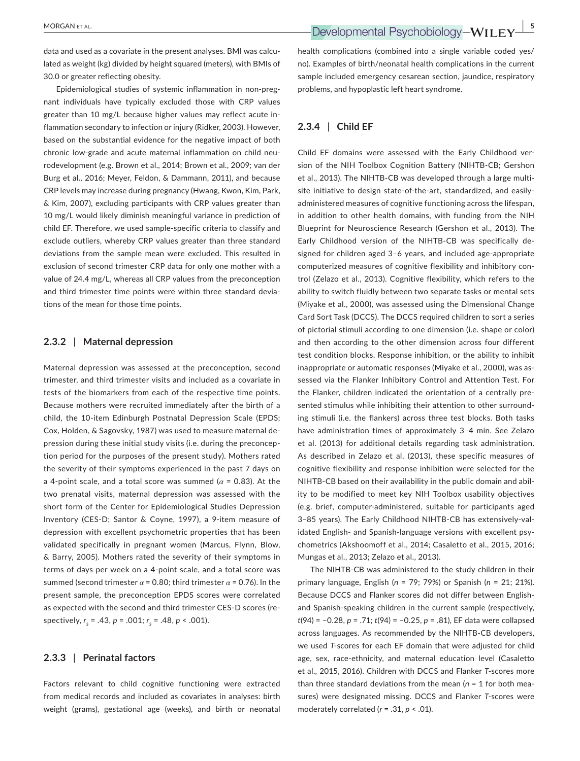data and used as a covariate in the present analyses. BMI was calculated as weight (kg) divided by height squared (meters), with BMIs of 30.0 or greater reflecting obesity.

Epidemiological studies of systemic inflammation in non-pregnant individuals have typically excluded those with CRP values greater than 10 mg/L because higher values may reflect acute inflammation secondary to infection or injury (Ridker, 2003). However, based on the substantial evidence for the negative impact of both chronic low-grade and acute maternal inflammation on child neurodevelopment (e.g. Brown et al., 2014; Brown et al., 2009; van der Burg et al., 2016; Meyer, Feldon, & Dammann, 2011), and because CRP levels may increase during pregnancy (Hwang, Kwon, Kim, Park, & Kim, 2007), excluding participants with CRP values greater than 10 mg/L would likely diminish meaningful variance in prediction of child EF. Therefore, we used sample-specific criteria to classify and exclude outliers, whereby CRP values greater than three standard deviations from the sample mean were excluded. This resulted in exclusion of second trimester CRP data for only one mother with a value of 24.4 mg/L, whereas all CRP values from the preconception and third trimester time points were within three standard deviations of the mean for those time points.

### **2.3.2** | **Maternal depression**

Maternal depression was assessed at the preconception, second trimester, and third trimester visits and included as a covariate in tests of the biomarkers from each of the respective time points. Because mothers were recruited immediately after the birth of a child, the 10-item Edinburgh Postnatal Depression Scale (EPDS; Cox, Holden, & Sagovsky, 1987) was used to measure maternal depression during these initial study visits (i.e. during the preconception period for the purposes of the present study). Mothers rated the severity of their symptoms experienced in the past 7 days on a 4-point scale, and a total score was summed (*α* = 0.83). At the two prenatal visits, maternal depression was assessed with the short form of the Center for Epidemiological Studies Depression Inventory (CES-D; Santor & Coyne, 1997), a 9-item measure of depression with excellent psychometric properties that has been validated specifically in pregnant women (Marcus, Flynn, Blow, & Barry, 2005). Mothers rated the severity of their symptoms in terms of days per week on a 4-point scale, and a total score was summed (second trimester  $\alpha$  = 0.80; third trimester  $\alpha$  = 0.76). In the present sample, the preconception EPDS scores were correlated as expected with the second and third trimester CES-D scores (respectively,  $r_s = .43$ ,  $p = .001$ ;  $r_s = .48$ ,  $p < .001$ ).

# **2.3.3** | **Perinatal factors**

Factors relevant to child cognitive functioning were extracted from medical records and included as covariates in analyses: birth weight (grams), gestational age (weeks), and birth or neonatal health complications (combined into a single variable coded yes/ no). Examples of birth/neonatal health complications in the current sample included emergency cesarean section, jaundice, respiratory problems, and hypoplastic left heart syndrome.

# **2.3.4** | **Child EF**

Child EF domains were assessed with the Early Childhood version of the NIH Toolbox Cognition Battery (NIHTB-CB; Gershon et al., 2013). The NIHTB-CB was developed through a large multisite initiative to design state-of-the-art, standardized, and easilyadministered measures of cognitive functioning across the lifespan, in addition to other health domains, with funding from the NIH Blueprint for Neuroscience Research (Gershon et al., 2013). The Early Childhood version of the NIHTB-CB was specifically designed for children aged 3–6 years, and included age-appropriate computerized measures of cognitive flexibility and inhibitory control (Zelazo et al., 2013). Cognitive flexibility, which refers to the ability to switch fluidly between two separate tasks or mental sets (Miyake et al., 2000), was assessed using the Dimensional Change Card Sort Task (DCCS). The DCCS required children to sort a series of pictorial stimuli according to one dimension (i.e. shape or color) and then according to the other dimension across four different test condition blocks. Response inhibition, or the ability to inhibit inappropriate or automatic responses (Miyake et al., 2000), was assessed via the Flanker Inhibitory Control and Attention Test. For the Flanker, children indicated the orientation of a centrally presented stimulus while inhibiting their attention to other surrounding stimuli (i.e. the flankers) across three test blocks. Both tasks have administration times of approximately 3–4 min. See Zelazo et al. (2013) for additional details regarding task administration. As described in Zelazo et al. (2013), these specific measures of cognitive flexibility and response inhibition were selected for the NIHTB-CB based on their availability in the public domain and ability to be modified to meet key NIH Toolbox usability objectives (e.g. brief, computer-administered, suitable for participants aged 3–85 years). The Early Childhood NIHTB-CB has extensively-validated English- and Spanish-language versions with excellent psychometrics (Akshoomoff et al., 2014; Casaletto et al., 2015, 2016; Mungas et al., 2013; Zelazo et al., 2013).

The NIHTB-CB was administered to the study children in their primary language, English (*n* = 79; 79%) or Spanish (*n* = 21; 21%). Because DCCS and Flanker scores did not differ between Englishand Spanish-speaking children in the current sample (respectively, *t*(94) = −0.28, *p* = .71; *t*(94) = −0.25, *p* = .81), EF data were collapsed across languages. As recommended by the NIHTB-CB developers, we used *T*-scores for each EF domain that were adjusted for child age, sex, race-ethnicity, and maternal education level (Casaletto et al., 2015, 2016). Children with DCCS and Flanker *T*-scores more than three standard deviations from the mean (*n* = 1 for both measures) were designated missing. DCCS and Flanker *T*-scores were moderately correlated (*r* = .31, *p* < .01).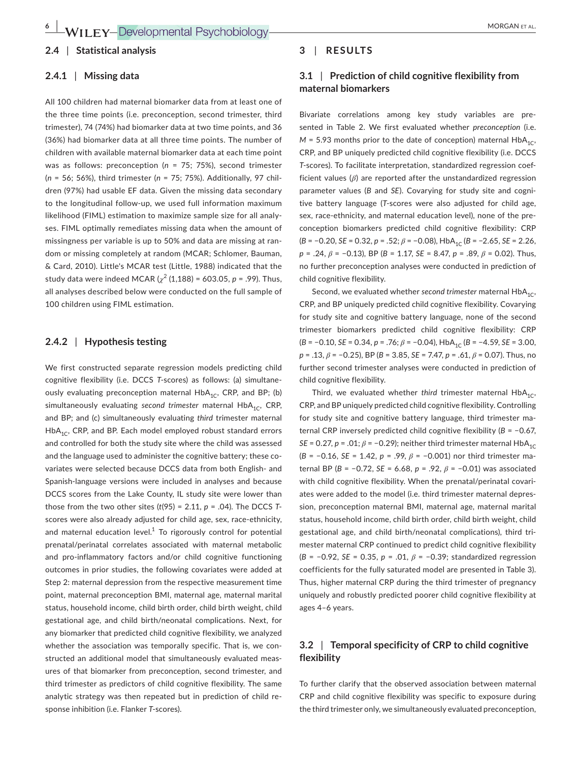#### **2.4** | **Statistical analysis**

#### **2.4.1** | **Missing data**

All 100 children had maternal biomarker data from at least one of the three time points (i.e. preconception, second trimester, third trimester), 74 (74%) had biomarker data at two time points, and 36 (36%) had biomarker data at all three time points. The number of children with available maternal biomarker data at each time point was as follows: preconception (*n* = 75; 75%), second trimester (*n* = 56; 56%), third trimester (*n* = 75; 75%). Additionally, 97 children (97%) had usable EF data. Given the missing data secondary to the longitudinal follow-up, we used full information maximum likelihood (FIML) estimation to maximize sample size for all analyses. FIML optimally remediates missing data when the amount of missingness per variable is up to 50% and data are missing at random or missing completely at random (MCAR; Schlomer, Bauman, & Card, 2010). Little's MCAR test (Little, 1988) indicated that the study data were indeed MCAR ( $\chi^2$  (1,188) = 603.05, *p* = .99). Thus, all analyses described below were conducted on the full sample of 100 children using FIML estimation.

## **2.4.2** | **Hypothesis testing**

We first constructed separate regression models predicting child cognitive flexibility (i.e. DCCS *T*-scores) as follows: (a) simultaneously evaluating preconception maternal  $HbA_{1C}$ , CRP, and BP; (b) simultaneously evaluating *second trimester* maternal HbA<sub>1C</sub>, CRP, and BP; and (c) simultaneously evaluating *third* trimester maternal  $HbA_{1c}$ , CRP, and BP. Each model employed robust standard errors and controlled for both the study site where the child was assessed and the language used to administer the cognitive battery; these covariates were selected because DCCS data from both English- and Spanish-language versions were included in analyses and because DCCS scores from the Lake County, IL study site were lower than those from the two other sites (*t*(95) = 2.11*, p* = .04). The DCCS *T*scores were also already adjusted for child age, sex, race-ethnicity, and maternal education level. $1$  To rigorously control for potential prenatal/perinatal correlates associated with maternal metabolic and pro-inflammatory factors and/or child cognitive functioning outcomes in prior studies, the following covariates were added at Step 2: maternal depression from the respective measurement time point, maternal preconception BMI, maternal age, maternal marital status, household income, child birth order, child birth weight, child gestational age, and child birth/neonatal complications. Next, for any biomarker that predicted child cognitive flexibility, we analyzed whether the association was temporally specific. That is, we constructed an additional model that simultaneously evaluated measures of that biomarker from preconception, second trimester, and third trimester as predictors of child cognitive flexibility. The same analytic strategy was then repeated but in prediction of child response inhibition (i.e. Flanker *T*-scores).

### **3** | **RESULTS**

# **3.1** | **Prediction of child cognitive flexibility from maternal biomarkers**

Bivariate correlations among key study variables are presented in Table 2. We first evaluated whether *preconception* (i.e.  $M = 5.93$  months prior to the date of conception) maternal  $HbA_{1C}$ , CRP, and BP uniquely predicted child cognitive flexibility (i.e. DCCS *T*-scores). To facilitate interpretation, standardized regression coefficient values (*β*) are reported after the unstandardized regression parameter values (*B* and *SE*). Covarying for study site and cognitive battery language (*T*-scores were also adjusted for child age, sex, race-ethnicity, and maternal education level), none of the preconception biomarkers predicted child cognitive flexibility: CRP  $(B = -0.20, SE = 0.32, p = .52; \beta = -0.08)$ , HbA<sub>1C</sub> ( $B = -2.65$ ,  $SE = 2.26$ , *p* = .24, *β* = −0.13), BP (*B* = 1.17, *SE* = 8.47, *p* = .89, *β* = 0.02). Thus, no further preconception analyses were conducted in prediction of child cognitive flexibility.

Second, we evaluated whether *second trimester* maternal HbA<sub>1C</sub>, CRP, and BP uniquely predicted child cognitive flexibility. Covarying for study site and cognitive battery language, none of the second trimester biomarkers predicted child cognitive flexibility: CRP  $(B = -0.10, SE = 0.34, p = .76; \beta = -0.04$ , HbA<sub>1C</sub> ( $B = -4.59$ ,  $SE = 3.00$ , *p* = .13, *β* = −0.25), BP (*B* = 3.85, *SE* = 7.47, *p* = .61, *β* = 0.07). Thus, no further second trimester analyses were conducted in prediction of child cognitive flexibility.

Third, we evaluated whether *third* trimester maternal  $HbA_{1C}$ , CRP, and BP uniquely predicted child cognitive flexibility. Controlling for study site and cognitive battery language, third trimester maternal CRP inversely predicted child cognitive flexibility (*B* = −0.67, *SE* = 0.27, *p* = .01;  $\beta$  = -0.29); neither third trimester maternal HbA<sub>1C</sub> (*B* = −0.16, *SE* = 1.42, *p* = .99, *β* = −0.001) nor third trimester maternal BP (*B* = −0.72, *SE* = 6.68, *p* = .92, *β* = −0.01) was associated with child cognitive flexibility. When the prenatal/perinatal covariates were added to the model (i.e. third trimester maternal depression, preconception maternal BMI, maternal age, maternal marital status, household income, child birth order, child birth weight, child gestational age, and child birth/neonatal complications), third trimester maternal CRP continued to predict child cognitive flexibility (*B* = −0.92, *SE* = 0.35, *p* = .01, *β* = −0.39; standardized regression coefficients for the fully saturated model are presented in Table 3). Thus, higher maternal CRP during the third trimester of pregnancy uniquely and robustly predicted poorer child cognitive flexibility at ages 4–6 years.

# **3.2** | **Temporal specificity of CRP to child cognitive flexibility**

To further clarify that the observed association between maternal CRP and child cognitive flexibility was specific to exposure during the third trimester only, we simultaneously evaluated preconception,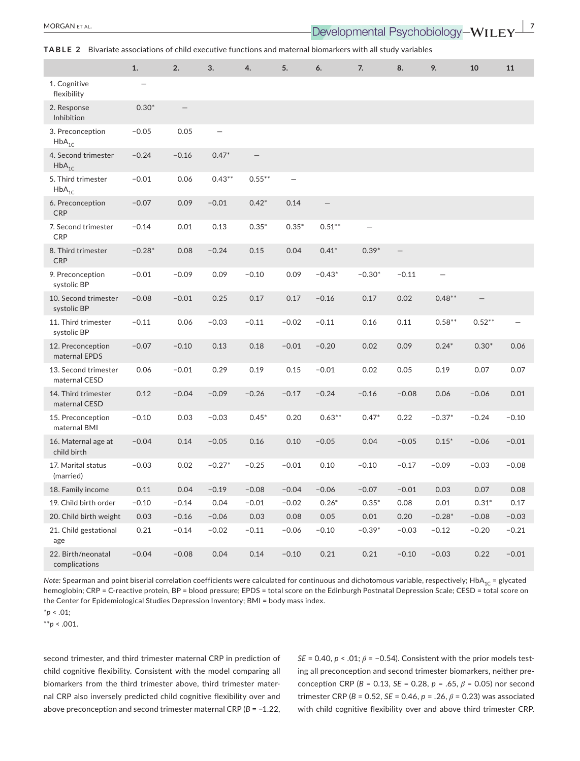**TABLE 2** Bivariate associations of child executive functions and maternal biomarkers with all study variables

|                                       | 1.       | 2.                       | 3.                       | 4.        | 5.                       | 6.                | 7.                       | 8.                | 9.        | 10                       | 11      |
|---------------------------------------|----------|--------------------------|--------------------------|-----------|--------------------------|-------------------|--------------------------|-------------------|-----------|--------------------------|---------|
| 1. Cognitive<br>flexibility           |          |                          |                          |           |                          |                   |                          |                   |           |                          |         |
| 2. Response<br>Inhibition             | $0.30*$  | $\overline{\phantom{0}}$ |                          |           |                          |                   |                          |                   |           |                          |         |
| 3. Preconception<br>$HbA_{1c}$        | $-0.05$  | 0.05                     | $\overline{\phantom{0}}$ |           |                          |                   |                          |                   |           |                          |         |
| 4. Second trimester<br>$HbA_{1C}$     | $-0.24$  | $-0.16$                  | $0.47*$                  |           |                          |                   |                          |                   |           |                          |         |
| 5. Third trimester<br>$HbA_{1C}$      | $-0.01$  | 0.06                     | $0.43***$                | $0.55***$ | $\overline{\phantom{0}}$ |                   |                          |                   |           |                          |         |
| 6. Preconception<br><b>CRP</b>        | $-0.07$  | 0.09                     | $-0.01$                  | $0.42*$   | 0.14                     | $\qquad \qquad -$ |                          |                   |           |                          |         |
| 7. Second trimester<br>CRP            | $-0.14$  | 0.01                     | 0.13                     | $0.35*$   | $0.35*$                  | $0.51***$         | $\overline{\phantom{0}}$ |                   |           |                          |         |
| 8. Third trimester<br><b>CRP</b>      | $-0.28*$ | 0.08                     | $-0.24$                  | 0.15      | 0.04                     | $0.41*$           | $0.39*$                  | $\qquad \qquad -$ |           |                          |         |
| 9. Preconception<br>systolic BP       | $-0.01$  | $-0.09$                  | 0.09                     | $-0.10$   | 0.09                     | $-0.43*$          | $-0.30*$                 | $-0.11$           |           |                          |         |
| 10. Second trimester<br>systolic BP   | $-0.08$  | $-0.01$                  | 0.25                     | 0.17      | 0.17                     | $-0.16$           | 0.17                     | 0.02              | $0.48***$ | $\overline{\phantom{m}}$ |         |
| 11. Third trimester<br>systolic BP    | $-0.11$  | 0.06                     | $-0.03$                  | $-0.11$   | $-0.02$                  | $-0.11$           | 0.16                     | 0.11              | $0.58***$ | $0.52***$                |         |
| 12. Preconception<br>maternal EPDS    | $-0.07$  | $-0.10$                  | 0.13                     | 0.18      | $-0.01$                  | $-0.20$           | 0.02                     | 0.09              | $0.24*$   | $0.30*$                  | 0.06    |
| 13. Second trimester<br>maternal CESD | 0.06     | $-0.01$                  | 0.29                     | 0.19      | 0.15                     | $-0.01$           | 0.02                     | 0.05              | 0.19      | 0.07                     | 0.07    |
| 14. Third trimester<br>maternal CESD  | 0.12     | $-0.04$                  | $-0.09$                  | $-0.26$   | $-0.17$                  | $-0.24$           | $-0.16$                  | $-0.08$           | 0.06      | $-0.06$                  | 0.01    |
| 15. Preconception<br>maternal BMI     | $-0.10$  | 0.03                     | $-0.03$                  | $0.45*$   | 0.20                     | $0.63***$         | $0.47*$                  | 0.22              | $-0.37*$  | $-0.24$                  | $-0.10$ |
| 16. Maternal age at<br>child birth    | $-0.04$  | 0.14                     | $-0.05$                  | 0.16      | 0.10                     | $-0.05$           | 0.04                     | $-0.05$           | $0.15*$   | $-0.06$                  | $-0.01$ |
| 17. Marital status<br>(married)       | $-0.03$  | 0.02                     | $-0.27*$                 | $-0.25$   | $-0.01$                  | 0.10              | $-0.10$                  | $-0.17$           | $-0.09$   | $-0.03$                  | $-0.08$ |
| 18. Family income                     | 0.11     | 0.04                     | $-0.19$                  | $-0.08$   | $-0.04$                  | $-0.06$           | $-0.07$                  | $-0.01$           | 0.03      | 0.07                     | 0.08    |
| 19. Child birth order                 | $-0.10$  | $-0.14$                  | 0.04                     | $-0.01$   | $-0.02$                  | $0.26*$           | $0.35*$                  | 0.08              | 0.01      | $0.31*$                  | 0.17    |
| 20. Child birth weight                | 0.03     | $-0.16$                  | $-0.06$                  | 0.03      | 0.08                     | 0.05              | 0.01                     | 0.20              | $-0.28*$  | $-0.08$                  | $-0.03$ |
| 21. Child gestational<br>age          | 0.21     | $-0.14$                  | $-0.02$                  | $-0.11$   | $-0.06$                  | $-0.10$           | $-0.39*$                 | $-0.03$           | $-0.12$   | $-0.20$                  | $-0.21$ |
| 22. Birth/neonatal<br>complications   | $-0.04$  | $-0.08$                  | 0.04                     | 0.14      | $-0.10$                  | 0.21              | 0.21                     | $-0.10$           | $-0.03$   | 0.22                     | $-0.01$ |

*Note:* Spearman and point biserial correlation coefficients were calculated for continuous and dichotomous variable, respectively; HbA<sub>1C</sub> = glycated hemoglobin; CRP = C-reactive protein, BP = blood pressure; EPDS = total score on the Edinburgh Postnatal Depression Scale; CESD = total score on the Center for Epidemiological Studies Depression Inventory; BMI = body mass index.

\**p* < .01;

\*\**p* < .001.

second trimester, and third trimester maternal CRP in prediction of child cognitive flexibility. Consistent with the model comparing all biomarkers from the third trimester above, third trimester maternal CRP also inversely predicted child cognitive flexibility over and above preconception and second trimester maternal CRP (*B* = −1.22,

*SE* = 0.40, *p* < .01; *β* = −0.54). Consistent with the prior models testing all preconception and second trimester biomarkers, neither preconception CRP (*B* = 0.13, *SE* = 0.28, *p* = .65, *β* = 0.05) nor second trimester CRP (*B* = 0.52, *SE* = 0.46, *p* = .26, *β* = 0.23) was associated with child cognitive flexibility over and above third trimester CRP.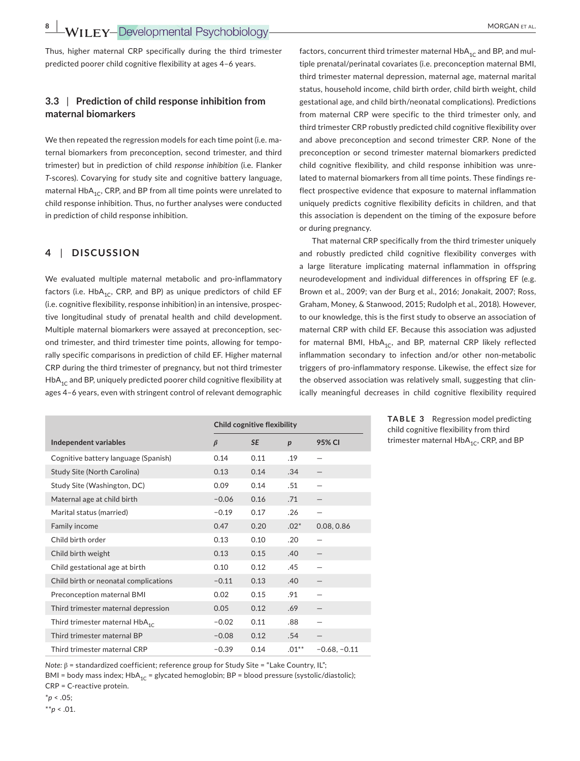**8 |**  MORGAN et al.

Thus, higher maternal CRP specifically during the third trimester predicted poorer child cognitive flexibility at ages 4–6 years.

# **3.3** | **Prediction of child response inhibition from maternal biomarkers**

We then repeated the regression models for each time point (i.e. maternal biomarkers from preconception, second trimester, and third trimester) but in prediction of child *response inhibition* (i.e. Flanker *T*-scores). Covarying for study site and cognitive battery language, maternal  $HbA_{1C}$ , CRP, and BP from all time points were unrelated to child response inhibition. Thus, no further analyses were conducted in prediction of child response inhibition.

# **4** | **DISCUSSION**

We evaluated multiple maternal metabolic and pro-inflammatory factors (i.e.  $HbA_{1C}$ , CRP, and BP) as unique predictors of child EF (i.e. cognitive flexibility, response inhibition) in an intensive, prospective longitudinal study of prenatal health and child development. Multiple maternal biomarkers were assayed at preconception, second trimester, and third trimester time points, allowing for temporally specific comparisons in prediction of child EF. Higher maternal CRP during the third trimester of pregnancy, but not third trimester  $HbA_{1C}$  and BP, uniquely predicted poorer child cognitive flexibility at ages 4–6 years, even with stringent control of relevant demographic

factors, concurrent third trimester maternal  $HbA_{1C}$  and BP, and multiple prenatal/perinatal covariates (i.e. preconception maternal BMI, third trimester maternal depression, maternal age, maternal marital status, household income, child birth order, child birth weight, child gestational age, and child birth/neonatal complications). Predictions from maternal CRP were specific to the third trimester only, and third trimester CRP robustly predicted child cognitive flexibility over and above preconception and second trimester CRP. None of the preconception or second trimester maternal biomarkers predicted child cognitive flexibility, and child response inhibition was unrelated to maternal biomarkers from all time points. These findings reflect prospective evidence that exposure to maternal inflammation uniquely predicts cognitive flexibility deficits in children, and that this association is dependent on the timing of the exposure before or during pregnancy.

That maternal CRP specifically from the third trimester uniquely and robustly predicted child cognitive flexibility converges with a large literature implicating maternal inflammation in offspring neurodevelopment and individual differences in offspring EF (e.g. Brown et al., 2009; van der Burg et al., 2016; Jonakait, 2007; Ross, Graham, Money, & Stanwood, 2015; Rudolph et al., 2018). However, to our knowledge, this is the first study to observe an association of maternal CRP with child EF. Because this association was adjusted for maternal BMI,  $HbA_{1C}$ , and BP, maternal CRP likely reflected inflammation secondary to infection and/or other non-metabolic triggers of pro-inflammatory response. Likewise, the effect size for the observed association was relatively small, suggesting that clinically meaningful decreases in child cognitive flexibility required

|                                       | Child cognitive flexibility |           |                  |                |
|---------------------------------------|-----------------------------|-----------|------------------|----------------|
| Independent variables                 | $\beta$                     | <b>SE</b> | $\boldsymbol{p}$ | 95% CI         |
| Cognitive battery language (Spanish)  | 0.14                        | 0.11      | .19              |                |
| Study Site (North Carolina)           | 0.13                        | 0.14      | .34              |                |
| Study Site (Washington, DC)           | 0.09                        | 0.14      | .51              |                |
| Maternal age at child birth           | $-0.06$                     | 0.16      | .71              |                |
| Marital status (married)              | $-0.19$                     | 0.17      | .26              |                |
| Family income                         | 0.47                        | 0.20      | $.02*$           | 0.08, 0.86     |
| Child birth order                     | 0.13                        | 0.10      | .20              |                |
| Child birth weight                    | 0.13                        | 0.15      | .40              |                |
| Child gestational age at birth        | 0.10                        | 0.12      | .45              |                |
| Child birth or neonatal complications | $-0.11$                     | 0.13      | .40              |                |
| Preconception maternal BMI            | 0.02                        | 0.15      | .91              |                |
| Third trimester maternal depression   | 0.05                        | 0.12      | .69              |                |
| Third trimester maternal $HbA_{1c}$   | $-0.02$                     | 0.11      | .88              |                |
| Third trimester maternal BP           | $-0.08$                     | 0.12      | .54              |                |
| Third trimester maternal CRP          | $-0.39$                     | 0.14      | $.01***$         | $-0.68, -0.11$ |

**TABLE 3** Regression model predicting child cognitive flexibility from third trimester maternal HbA<sub>1C</sub>, CRP, and BP

*Note:* β = standardized coefficient; reference group for Study Site = "Lake Country, IL";

BMI = body mass index; HbA<sub>1C</sub> = glycated hemoglobin; BP = blood pressure (systolic/diastolic); CRP = C-reactive protein.

\**p* < .05;

\*\**p* < .01.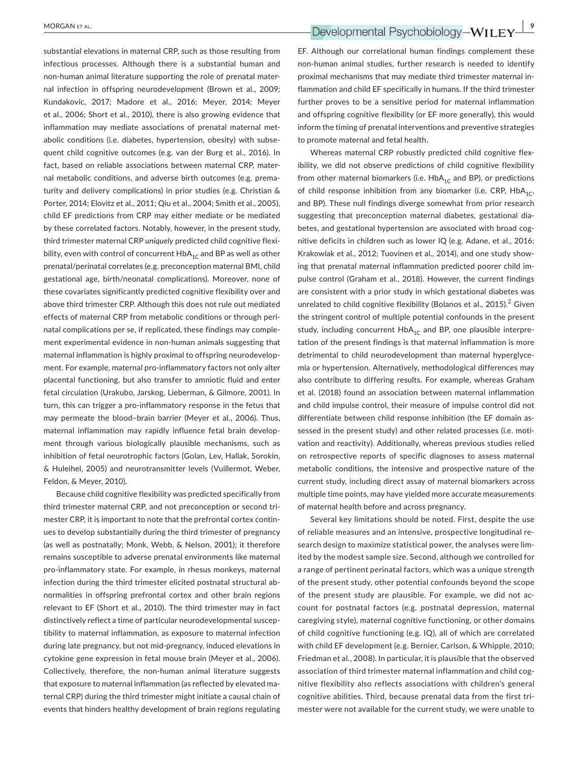substantial elevations in maternal CRP, such as those resulting from infectious processes. Although there is a substantial human and non-human animal literature supporting the role of prenatal maternal infection in offspring neurodevelopment (Brown et al., 2009; Kundakovic, 2017; Madore et al., 2016; Meyer, 2014; Meyer et al., 2006; Short et al., 2010), there is also growing evidence that inflammation may mediate associations of prenatal maternal metabolic conditions (i.e. diabetes, hypertension, obesity) with subsequent child cognitive outcomes (e.g. van der Burg et al., 2016). In fact, based on reliable associations between maternal CRP, maternal metabolic conditions, and adverse birth outcomes (e.g. prematurity and delivery complications) in prior studies (e.g. Christian & Porter, 2014; Elovitz et al., 2011; Qiu et al., 2004; Smith et al., 2005), child EF predictions from CRP may either mediate or be mediated by these correlated factors. Notably, however, in the present study, third trimester maternal CRP *uniquely* predicted child cognitive flexibility, even with control of concurrent  $HbA_{1C}$  and BP as well as other prenatal/perinatal correlates (e.g. preconception maternal BMI, child gestational age, birth/neonatal complications). Moreover, none of these covariates significantly predicted cognitive flexibility over and above third trimester CRP. Although this does not rule out mediated effects of maternal CRP from metabolic conditions or through perinatal complications per se, if replicated, these findings may complement experimental evidence in non-human animals suggesting that maternal inflammation is highly proximal to offspring neurodevelopment. For example, maternal pro-inflammatory factors not only alter placental functioning, but also transfer to amniotic fluid and enter fetal circulation (Urakubo, Jarskog, Lieberman, & Gilmore, 2001). In turn, this can trigger a pro-inflammatory response in the fetus that may permeate the blood–brain barrier (Meyer et al., 2006). Thus, maternal inflammation may rapidly influence fetal brain development through various biologically plausible mechanisms, such as inhibition of fetal neurotrophic factors (Golan, Lev, Hallak, Sorokin, & Huleihel, 2005) and neurotransmitter levels (Vuillermot, Weber, Feldon, & Meyer, 2010).

Because child cognitive flexibility was predicted specifically from third trimester maternal CRP, and not preconception or second trimester CRP, it is important to note that the prefrontal cortex continues to develop substantially during the third trimester of pregnancy (as well as postnatally; Monk, Webb, & Nelson, 2001); it therefore remains susceptible to adverse prenatal environments like maternal pro-inflammatory state. For example, in rhesus monkeys, maternal infection during the third trimester elicited postnatal structural abnormalities in offspring prefrontal cortex and other brain regions relevant to EF (Short et al., 2010). The third trimester may in fact distinctively reflect a time of particular neurodevelopmental susceptibility to maternal inflammation, as exposure to maternal infection during late pregnancy, but not mid-pregnancy, induced elevations in cytokine gene expression in fetal mouse brain (Meyer et al., 2006). Collectively, therefore, the non-human animal literature suggests that exposure to maternal inflammation (as reflected by elevated maternal CRP) during the third trimester might initiate a causal chain of events that hinders healthy development of brain regions regulating

 **<u>MORGAN ET AL.</u>**  $\blacksquare$  **Developmental Psychobiology-WILEY** 

EF. Although our correlational human findings complement these non-human animal studies, further research is needed to identify proximal mechanisms that may mediate third trimester maternal inflammation and child EF specifically in humans. If the third trimester further proves to be a sensitive period for maternal inflammation and offspring cognitive flexibility (or EF more generally), this would inform the timing of prenatal interventions and preventive strategies to promote maternal and fetal health.

Whereas maternal CRP robustly predicted child cognitive flexibility, we did not observe predictions of child cognitive flexibility from other maternal biomarkers (i.e.  $HbA_{1C}$  and BP), or predictions of child response inhibition from any biomarker (i.e. CRP,  $HbA_{1C}$ , and BP). These null findings diverge somewhat from prior research suggesting that preconception maternal diabetes, gestational diabetes, and gestational hypertension are associated with broad cognitive deficits in children such as lower IQ (e.g. Adane, et al., 2016; Krakowiak et al., 2012; Tuovinen et al., 2014), and one study showing that prenatal maternal inflammation predicted poorer child impulse control (Graham et al., 2018). However, the current findings are consistent with a prior study in which gestational diabetes was unrelated to child cognitive flexibility (Bolanos et al., 2015).<sup>2</sup> Given the stringent control of multiple potential confounds in the present study, including concurrent  $HbA_{1C}$  and BP, one plausible interpretation of the present findings is that maternal inflammation is more detrimental to child neurodevelopment than maternal hyperglycemia or hypertension. Alternatively, methodological differences may also contribute to differing results. For example, whereas Graham et al. (2018) found an association between maternal inflammation and child impulse control, their measure of impulse control did not differentiate between child response inhibition (the EF domain assessed in the present study) and other related processes (i.e. motivation and reactivity). Additionally, whereas previous studies relied on retrospective reports of specific diagnoses to assess maternal metabolic conditions, the intensive and prospective nature of the current study, including direct assay of maternal biomarkers across multiple time points, may have yielded more accurate measurements of maternal health before and across pregnancy.

Several key limitations should be noted. First, despite the use of reliable measures and an intensive, prospective longitudinal research design to maximize statistical power, the analyses were limited by the modest sample size. Second, although we controlled for a range of pertinent perinatal factors, which was a unique strength of the present study, other potential confounds beyond the scope of the present study are plausible. For example, we did not account for postnatal factors (e.g. postnatal depression, maternal caregiving style), maternal cognitive functioning, or other domains of child cognitive functioning (e.g. IQ), all of which are correlated with child EF development (e.g. Bernier, Carlson, & Whipple, 2010; Friedman et al., 2008). In particular, it is plausible that the observed association of third trimester maternal inflammation and child cognitive flexibility also reflects associations with children's general cognitive abilities. Third, because prenatal data from the first trimester were not available for the current study, we were unable to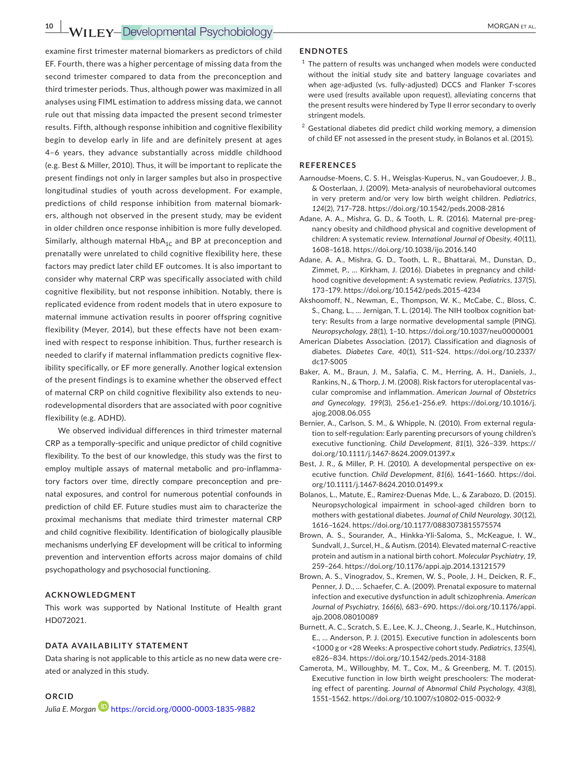examine first trimester maternal biomarkers as predictors of child EF. Fourth, there was a higher percentage of missing data from the second trimester compared to data from the preconception and third trimester periods. Thus, although power was maximized in all analyses using FIML estimation to address missing data, we cannot rule out that missing data impacted the present second trimester results. Fifth, although response inhibition and cognitive flexibility begin to develop early in life and are definitely present at ages 4–6 years, they advance substantially across middle childhood (e.g. Best & Miller, 2010). Thus, it will be important to replicate the present findings not only in larger samples but also in prospective longitudinal studies of youth across development. For example, predictions of child response inhibition from maternal biomarkers, although not observed in the present study, may be evident in older children once response inhibition is more fully developed. Similarly, although maternal  $HbA_{1C}$  and BP at preconception and prenatally were unrelated to child cognitive flexibility here, these factors may predict later child EF outcomes. It is also important to consider why maternal CRP was specifically associated with child cognitive flexibility, but not response inhibition. Notably, there is replicated evidence from rodent models that in utero exposure to maternal immune activation results in poorer offspring cognitive flexibility (Meyer, 2014), but these effects have not been examined with respect to response inhibition. Thus, further research is needed to clarify if maternal inflammation predicts cognitive flexibility specifically, or EF more generally. Another logical extension of the present findings is to examine whether the observed effect of maternal CRP on child cognitive flexibility also extends to neurodevelopmental disorders that are associated with poor cognitive flexibility (e.g. ADHD).

We observed individual differences in third trimester maternal CRP as a temporally-specific and unique predictor of child cognitive flexibility. To the best of our knowledge, this study was the first to employ multiple assays of maternal metabolic and pro-inflammatory factors over time, directly compare preconception and prenatal exposures, and control for numerous potential confounds in prediction of child EF. Future studies must aim to characterize the proximal mechanisms that mediate third trimester maternal CRP and child cognitive flexibility. Identification of biologically plausible mechanisms underlying EF development will be critical to informing prevention and intervention efforts across major domains of child psychopathology and psychosocial functioning.

#### **ACKNOWLEDGMENT**

This work was supported by National Institute of Health grant HD072021.

#### **DATA AVAILABILITY STATEMENT**

Data sharing is not applicable to this article as no new data were created or analyzed in this study.

# **ORCID**

Julia E. Morgan<sup>D</sup> <https://orcid.org/0000-0003-1835-9882>

#### **ENDNOTES**

- $1$  The pattern of results was unchanged when models were conducted without the initial study site and battery language covariates and when age-adjusted (vs. fully-adjusted) DCCS and Flanker *T*-scores were used (results available upon request), alleviating concerns that the present results were hindered by Type II error secondary to overly stringent models.
- $2$  Gestational diabetes did predict child working memory, a dimension of child EF not assessed in the present study, in Bolanos et al. (2015).

#### **REFERENCES**

- Aarnoudse-Moens, C. S. H., Weisglas-Kuperus, N., van Goudoever, J. B., & Oosterlaan, J. (2009). Meta-analysis of neurobehavioral outcomes in very preterm and/or very low birth weight children. *Pediatrics*, *124*(2), 717–728.<https://doi.org/10.1542/peds.2008-2816>
- Adane, A. A., Mishra, G. D., & Tooth, L. R. (2016). Maternal pre-pregnancy obesity and childhood physical and cognitive development of children: A systematic review. *International Journal of Obesity*, *40*(11), 1608–1618. <https://doi.org/10.1038/ijo.2016.140>
- Adane, A. A., Mishra, G. D., Tooth, L. R., Bhattarai, M., Dunstan, D., Zimmet, P., … Kirkham, J. (2016). Diabetes in pregnancy and childhood cognitive development: A systematic review. *Pediatrics*, *137*(5), 173–179.<https://doi.org/10.1542/peds.2015-4234>
- Akshoomoff, N., Newman, E., Thompson, W. K., McCabe, C., Bloss, C. S., Chang, L., … Jernigan, T. L. (2014). The NIH toolbox cognition battery: Results from a large normative developmental sample (PING). *Neuropsychology*, *28*(1), 1–10. <https://doi.org/10.1037/neu0000001>
- American Diabetes Association. (2017). Classification and diagnosis of diabetes. *Diabetes Care*, *40*(1), S11–S24. [https://doi.org/10.2337/](https://doi.org/10.2337/dc17-S005) [dc17-S005](https://doi.org/10.2337/dc17-S005)
- Baker, A. M., Braun, J. M., Salafia, C. M., Herring, A. H., Daniels, J., Rankins, N., & Thorp, J. M. (2008). Risk factors for uteroplacental vascular compromise and inflammation. *American Journal of Obstetrics and Gynecology*, *199*(3), 256.e1–256.e9. [https://doi.org/10.1016/j.](https://doi.org/10.1016/j.ajog.2008.06.055) [ajog.2008.06.055](https://doi.org/10.1016/j.ajog.2008.06.055)
- Bernier, A., Carlson, S. M., & Whipple, N. (2010). From external regulation to self-regulation: Early parenting precursors of young children's executive functioning. *Child Development*, *81*(1), 326–339. [https://](https://doi.org/10.1111/j.1467-8624.2009.01397.x) [doi.org/10.1111/j.1467-8624.2009.01397.x](https://doi.org/10.1111/j.1467-8624.2009.01397.x)
- Best, J. R., & Miller, P. H. (2010). A developmental perspective on executive function. *Child Development*, *81*(6), 1641–1660. [https://doi.](https://doi.org/10.1111/j.1467-8624.2010.01499.x) [org/10.1111/j.1467-8624.2010.01499.x](https://doi.org/10.1111/j.1467-8624.2010.01499.x)
- Bolanos, L., Matute, E., Ramirez-Duenas Mde, L., & Zarabozo, D. (2015). Neuropsychological impairment in school-aged children born to mothers with gestational diabetes. *Journal of Child Neurology*, *30*(12), 1616–1624.<https://doi.org/10.1177/0883073815575574>
- Brown, A. S., Sourander, A., Hinkka-Yli-Saloma, S., McKeague, I. W., Sundvall, J., Surcel, H., & Autism. (2014). Elevated maternal C-reactive protein and autism in a national birth cohort. *Molecular Psychiatry*, *19*, 259–264.<https://doi.org/10.1176/appi.ajp.2014.13121579>
- Brown, A. S., Vinogradov, S., Kremen, W. S., Poole, J. H., Deicken, R. F., Penner, J. D., … Schaefer, C. A. (2009). Prenatal exposure to maternal infection and executive dysfunction in adult schizophrenia. *American Journal of Psychiatry*, *166*(6), 683–690. [https://doi.org/10.1176/appi.](https://doi.org/10.1176/appi.ajp.2008.08010089) [ajp.2008.08010089](https://doi.org/10.1176/appi.ajp.2008.08010089)
- Burnett, A. C., Scratch, S. E., Lee, K. J., Cheong, J., Searle, K., Hutchinson, E., … Anderson, P. J. (2015). Executive function in adolescents born <1000 g or <28 Weeks: A prospective cohort study. *Pediatrics*, *135*(4), e826–834.<https://doi.org/10.1542/peds.2014-3188>
- Camerota, M., Willoughby, M. T., Cox, M., & Greenberg, M. T. (2015). Executive function in low birth weight preschoolers: The moderating effect of parenting. *Journal of Abnormal Child Psychology*, *43*(8), 1551–1562.<https://doi.org/10.1007/s10802-015-0032-9>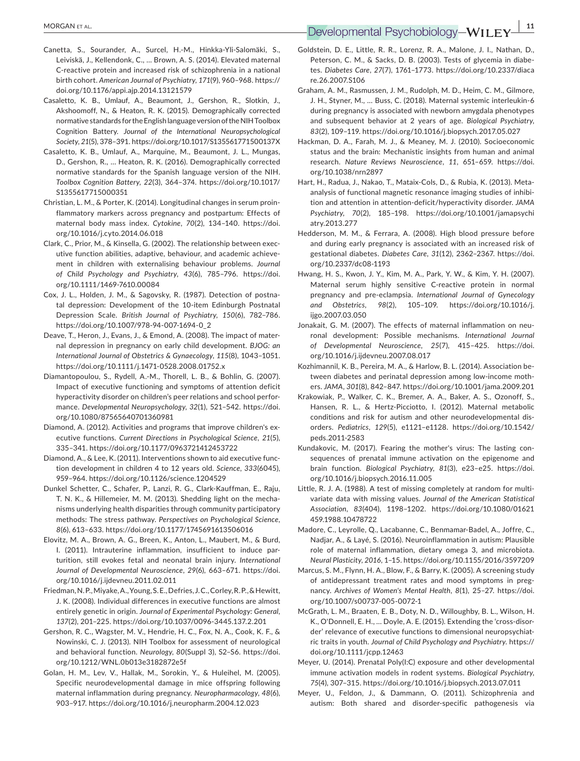- Canetta, S., Sourander, A., Surcel, H.-M., Hinkka-Yli-Salomäki, S., Leiviskä, J., Kellendonk, C., … Brown, A. S. (2014). Elevated maternal C-reactive protein and increased risk of schizophrenia in a national birth cohort. *American Journal of Psychiatry*, *171*(9), 960–968. [https://](https://doi.org/10.1176/appi.ajp.2014.13121579) [doi.org/10.1176/appi.ajp.2014.13121579](https://doi.org/10.1176/appi.ajp.2014.13121579)
- Casaletto, K. B., Umlauf, A., Beaumont, J., Gershon, R., Slotkin, J., Akshoomoff, N., & Heaton, R. K. (2015). Demographically corrected normative standards for the English language version of the NIH Toolbox Cognition Battery. *Journal of the International Neuropsychological Society*, *21*(5), 378–391.<https://doi.org/10.1017/S135561771500137X>
- Casaletto, K. B., Umlauf, A., Marquine, M., Beaumont, J. L., Mungas, D., Gershon, R., … Heaton, R. K. (2016). Demographically corrected normative standards for the Spanish language version of the NIH. *Toolbox Cognition Battery*, *22*(3), 364–374. [https://doi.org/10.1017/](https://doi.org/10.1017/S1355617715000351) [S1355617715000351](https://doi.org/10.1017/S1355617715000351)
- Christian, L. M., & Porter, K. (2014). Longitudinal changes in serum proinflammatory markers across pregnancy and postpartum: Effects of maternal body mass index. *Cytokine*, *70*(2), 134–140. [https://doi.](https://doi.org/10.1016/j.cyto.2014.06.018) [org/10.1016/j.cyto.2014.06.018](https://doi.org/10.1016/j.cyto.2014.06.018)
- Clark, C., Prior, M., & Kinsella, G. (2002). The relationship between executive function abilities, adaptive, behaviour, and academic achievement in children with externalising behaviour problems. *Journal of Child Psychology and Psychiatry*, *43*(6), 785–796. [https://doi.](https://doi.org/10.1111/1469-7610.00084) [org/10.1111/1469-7610.00084](https://doi.org/10.1111/1469-7610.00084)
- Cox, J. L., Holden, J. M., & Sagovsky, R. (1987). Detection of postnatal depression: Development of the 10-item Edinburgh Postnatal Depression Scale. *British Journal of Psychiatry*, *150*(6), 782–786. [https://doi.org/10.1007/978-94-007-1694-0\\_2](https://doi.org/10.1007/978-94-007-1694-0_2)
- Deave, T., Heron, J., Evans, J., & Emond, A. (2008). The impact of maternal depression in pregnancy on early child development. *BJOG: an International Journal of Obstetrics & Gynaecology*, *115*(8), 1043–1051. <https://doi.org/10.1111/j.1471-0528.2008.01752.x>
- Diamantopoulou, S., Rydell, A.-M., Thorell, L. B., & Bohlin, G. (2007). Impact of executive functioning and symptoms of attention deficit hyperactivity disorder on children's peer relations and school performance. *Developmental Neuropsychology*, *32*(1), 521–542. [https://doi.](https://doi.org/10.1080/87565640701360981) [org/10.1080/87565640701360981](https://doi.org/10.1080/87565640701360981)
- Diamond, A. (2012). Activities and programs that improve children's executive functions. *Current Directions in Psychological Science*, *21*(5), 335–341.<https://doi.org/10.1177/0963721412453722>
- Diamond, A., & Lee, K. (2011). Interventions shown to aid executive function development in children 4 to 12 years old. *Science*, *333*(6045), 959–964. <https://doi.org/10.1126/science.1204529>
- Dunkel Schetter, C., Schafer, P., Lanzi, R. G., Clark-Kauffman, E., Raju, T. N. K., & Hillemeier, M. M. (2013). Shedding light on the mechanisms underlying health disparities through community participatory methods: The stress pathway. *Perspectives on Psychological Science*, *8*(6), 613–633.<https://doi.org/10.1177/1745691613506016>
- Elovitz, M. A., Brown, A. G., Breen, K., Anton, L., Maubert, M., & Burd, I. (2011). Intrauterine inflammation, insufficient to induce parturition, still evokes fetal and neonatal brain injury. *International Journal of Developmental Neuroscience*, *29*(6), 663–671. [https://doi.](https://doi.org/10.1016/j.ijdevneu.2011.02.011) [org/10.1016/j.ijdevneu.2011.02.011](https://doi.org/10.1016/j.ijdevneu.2011.02.011)
- Friedman, N. P., Miyake, A., Young, S. E., Defries, J. C., Corley, R. P., & Hewitt, J. K. (2008). Individual differences in executive functions are almost entirely genetic in origin. *Journal of Experimental Psychology: General*, *137*(2), 201–225.<https://doi.org/10.1037/0096-3445.137.2.201>
- Gershon, R. C., Wagster, M. V., Hendrie, H. C., Fox, N. A., Cook, K. F., & Nowinski, C. J. (2013). NIH Toolbox for assessment of neurological and behavioral function. *Neurology*, *80*(Suppl 3), S2–S6. [https://doi.](https://doi.org/10.1212/WNL.0b013e3182872e5f) [org/10.1212/WNL.0b013e3182872e5f](https://doi.org/10.1212/WNL.0b013e3182872e5f)
- Golan, H. M., Lev, V., Hallak, M., Sorokin, Y., & Huleihel, M. (2005). Specific neurodevelopmental damage in mice offspring following maternal inflammation during pregnancy. *Neuropharmacology*, *48*(6), 903–917.<https://doi.org/10.1016/j.neuropharm.2004.12.023>

# **<u>Developmental Psychobiology—WILEY—<sup>11</sup>**<br>Developmental Psychobiology—WILEY—</u>

- Goldstein, D. E., Little, R. R., Lorenz, R. A., Malone, J. I., Nathan, D., Peterson, C. M., & Sacks, D. B. (2003). Tests of glycemia in diabetes. *Diabetes Care*, *27*(7), 1761–1773. [https://doi.org/10.2337/diaca](https://doi.org/10.2337/diacare.26.2007.S106) [re.26.2007.S106](https://doi.org/10.2337/diacare.26.2007.S106)
- Graham, A. M., Rasmussen, J. M., Rudolph, M. D., Heim, C. M., Gilmore, J. H., Styner, M., … Buss, C. (2018). Maternal systemic interleukin-6 during pregnancy is associated with newborn amygdala phenotypes and subsequent behavior at 2 years of age. *Biological Psychiatry*, *83*(2), 109–119.<https://doi.org/10.1016/j.biopsych.2017.05.027>
- Hackman, D. A., Farah, M. J., & Meaney, M. J. (2010). Socioeconomic status and the brain: Mechanistic insights from human and animal research. *Nature Reviews Neuroscience*, *11*, 651–659. [https://doi.](https://doi.org/10.1038/nrn2897) [org/10.1038/nrn2897](https://doi.org/10.1038/nrn2897)
- Hart, H., Radua, J., Nakao, T., Mataix-Cols, D., & Rubia, K. (2013). Metaanalysis of functional magnetic resonance imaging studies of inhibition and attention in attention-deficit/hyperactivity disorder. *JAMA Psychiatry*, *70*(2), 185–198. [https://doi.org/10.1001/jamapsychi](https://doi.org/10.1001/jamapsychiatry.2013.277) [atry.2013.277](https://doi.org/10.1001/jamapsychiatry.2013.277)
- Hedderson, M. M., & Ferrara, A. (2008). High blood pressure before and during early pregnancy is associated with an increased risk of gestational diabetes. *Diabetes Care*, *31*(12), 2362–2367. [https://doi.](https://doi.org/10.2337/dc08-1193) [org/10.2337/dc08-1193](https://doi.org/10.2337/dc08-1193)
- Hwang, H. S., Kwon, J. Y., Kim, M. A., Park, Y. W., & Kim, Y. H. (2007). Maternal serum highly sensitive C-reactive protein in normal pregnancy and pre-eclampsia. *International Journal of Gynecology and Obstetrics*, *98*(2), 105–109. [https://doi.org/10.1016/j.](https://doi.org/10.1016/j.ijgo.2007.03.050) [ijgo.2007.03.050](https://doi.org/10.1016/j.ijgo.2007.03.050)
- Jonakait, G. M. (2007). The effects of maternal inflammation on neuronal development: Possible mechanisms. *International Journal of Developmental Neuroscience*, *25*(7), 415–425. [https://doi.](https://doi.org/10.1016/j.ijdevneu.2007.08.017) [org/10.1016/j.ijdevneu.2007.08.017](https://doi.org/10.1016/j.ijdevneu.2007.08.017)
- Kozhimannil, K. B., Pereira, M. A., & Harlow, B. L. (2014). Association between diabetes and perinatal depression among low-income mothers. *JAMA*, *301*(8), 842–847.<https://doi.org/10.1001/jama.2009.201>
- Krakowiak, P., Walker, C. K., Bremer, A. A., Baker, A. S., Ozonoff, S., Hansen, R. L., & Hertz-Picciotto, I. (2012). Maternal metabolic conditions and risk for autism and other neurodevelopmental disorders. *Pediatrics*, *129*(5), e1121–e1128. [https://doi.org/10.1542/](https://doi.org/10.1542/peds.2011-2583) [peds.2011-2583](https://doi.org/10.1542/peds.2011-2583)
- Kundakovic, M. (2017). Fearing the mother's virus: The lasting consequences of prenatal immune activation on the epigenome and brain function. *Biological Psychiatry*, *81*(3), e23–e25. [https://doi.](https://doi.org/10.1016/j.biopsych.2016.11.005) [org/10.1016/j.biopsych.2016.11.005](https://doi.org/10.1016/j.biopsych.2016.11.005)
- Little, R. J. A. (1988). A test of missing completely at random for multivariate data with missing values. *Journal of the American Statistical Association*, *83*(404), 1198–1202. [https://doi.org/10.1080/01621](https://doi.org/10.1080/01621459.1988.10478722) [459.1988.10478722](https://doi.org/10.1080/01621459.1988.10478722)
- Madore, C., Leyrolle, Q., Lacabanne, C., Benmamar-Badel, A., Joffre, C., Nadjar, A., & Layé, S. (2016). Neuroinflammation in autism: Plausible role of maternal inflammation, dietary omega 3, and microbiota. *Neural Plasticity*, *2016*, 1–15.<https://doi.org/10.1155/2016/3597209>
- Marcus, S. M., Flynn, H. A., Blow, F., & Barry, K. (2005). A screening study of antidepressant treatment rates and mood symptoms in pregnancy. *Archives of Women's Mental Health*, *8*(1), 25–27. [https://doi.](https://doi.org/10.1007/s00737-005-0072-1) [org/10.1007/s00737-005-0072-1](https://doi.org/10.1007/s00737-005-0072-1)
- McGrath, L. M., Braaten, E. B., Doty, N. D., Willoughby, B. L., Wilson, H. K., O'Donnell, E. H., … Doyle, A. E. (2015). Extending the 'cross-disorder' relevance of executive functions to dimensional neuropsychiatric traits in youth. *Journal of Child Psychology and Psychiatry*. [https://](https://doi.org/10.1111/jcpp.12463) [doi.org/10.1111/jcpp.12463](https://doi.org/10.1111/jcpp.12463)
- Meyer, U. (2014). Prenatal Poly(I:C) exposure and other developmental immune activation models in rodent systems. *Biological Psychiatry*, *75*(4), 307–315.<https://doi.org/10.1016/j.biopsych.2013.07.011>
- Meyer, U., Feldon, J., & Dammann, O. (2011). Schizophrenia and autism: Both shared and disorder-specific pathogenesis via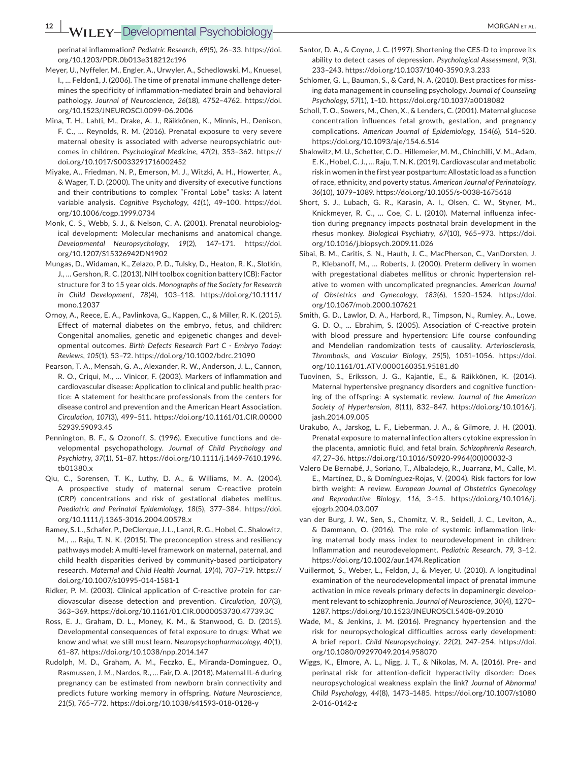perinatal inflammation? *Pediatric Research*, *69*(5), 26–33. [https://doi.](https://doi.org/10.1203/PDR.0b013e318212c196) [org/10.1203/PDR.0b013e318212c196](https://doi.org/10.1203/PDR.0b013e318212c196)

- Meyer, U., Nyffeler, M., Engler, A., Urwyler, A., Schedlowski, M., Knuesel, I., … Feldon1, J. (2006). The time of prenatal immune challenge determines the specificity of inflammation-mediated brain and behavioral pathology. *Journal of Neuroscience*, *26*(18), 4752–4762. [https://doi.](https://doi.org/10.1523/JNEUROSCI.0099-06.2006) [org/10.1523/JNEUROSCI.0099-06.2006](https://doi.org/10.1523/JNEUROSCI.0099-06.2006)
- Mina, T. H., Lahti, M., Drake, A. J., Räikkönen, K., Minnis, H., Denison, F. C., … Reynolds, R. M. (2016). Prenatal exposure to very severe maternal obesity is associated with adverse neuropsychiatric outcomes in children. *Psychological Medicine*, *47*(2), 353–362. [https://](https://doi.org/10.1017/S0033291716002452) [doi.org/10.1017/S0033291716002452](https://doi.org/10.1017/S0033291716002452)
- Miyake, A., Friedman, N. P., Emerson, M. J., Witzki, A. H., Howerter, A., & Wager, T. D. (2000). The unity and diversity of executive functions and their contributions to complex "Frontal Lobe" tasks: A latent variable analysis. *Cognitive Psychology*, *41*(1), 49–100. [https://doi.](https://doi.org/10.1006/cogp.1999.0734) [org/10.1006/cogp.1999.0734](https://doi.org/10.1006/cogp.1999.0734)
- Monk, C. S., Webb, S. J., & Nelson, C. A. (2001). Prenatal neurobiological development: Molecular mechanisms and anatomical change. *Developmental Neuropsychology*, *19*(2), 147–171. [https://doi.](https://doi.org/10.1207/S15326942DN1902) [org/10.1207/S15326942DN1902](https://doi.org/10.1207/S15326942DN1902)
- Mungas, D., Widaman, K., Zelazo, P. D., Tulsky, D., Heaton, R. K., Slotkin, J., … Gershon, R. C. (2013). NIH toolbox cognition battery (CB): Factor structure for 3 to 15 year olds. *Monographs of the Society for Research in Child Development*, *78*(4), 103–118. [https://doi.org/10.1111/](https://doi.org/10.1111/mono.12037) mono. 12037
- Ornoy, A., Reece, E. A., Pavlinkova, G., Kappen, C., & Miller, R. K. (2015). Effect of maternal diabetes on the embryo, fetus, and children: Congenital anomalies, genetic and epigenetic changes and developmental outcomes. *Birth Defects Research Part C - Embryo Today: Reviews*, *105*(1), 53–72. <https://doi.org/10.1002/bdrc.21090>
- Pearson, T. A., Mensah, G. A., Alexander, R. W., Anderson, J. L., Cannon, R. O., Criqui, M., … Vinicor, F. (2003). Markers of inflammation and cardiovascular disease: Application to clinical and public health practice: A statement for healthcare professionals from the centers for disease control and prevention and the American Heart Association. *Circulation*, *107*(3), 499–511. [https://doi.org/10.1161/01.CIR.00000](https://doi.org/10.1161/01.CIR.0000052939.59093.45) [52939.59093.45](https://doi.org/10.1161/01.CIR.0000052939.59093.45)
- Pennington, B. F., & Ozonoff, S. (1996). Executive functions and developmental psychopathology. *Journal of Child Psychology and Psychiatry*, *37*(1), 51–87. [https://doi.org/10.1111/j.1469-7610.1996.](https://doi.org/10.1111/j.1469-7610.1996.tb01380.x) [tb01380.x](https://doi.org/10.1111/j.1469-7610.1996.tb01380.x)
- Qiu, C., Sorensen, T. K., Luthy, D. A., & Williams, M. A. (2004). A prospective study of maternal serum C-reactive protein (CRP) concentrations and risk of gestational diabetes mellitus. *Paediatric and Perinatal Epidemiology*, *18*(5), 377–384. [https://doi.](https://doi.org/10.1111/j.1365-3016.2004.00578.x) [org/10.1111/j.1365-3016.2004.00578.x](https://doi.org/10.1111/j.1365-3016.2004.00578.x)
- Ramey, S. L., Schafer, P., DeClerque, J. L., Lanzi, R. G., Hobel, C., Shalowitz, M., … Raju, T. N. K. (2015). The preconception stress and resiliency pathways model: A multi-level framework on maternal, paternal, and child health disparities derived by community-based participatory research. *Maternal and Child Health Journal*, *19*(4), 707–719. [https://](https://doi.org/10.1007/s10995-014-1581-1) [doi.org/10.1007/s10995-014-1581-1](https://doi.org/10.1007/s10995-014-1581-1)
- Ridker, P. M. (2003). Clinical application of C-reactive protein for cardiovascular disease detection and prevention. *Circulation*, *107*(3), 363–369.<https://doi.org/10.1161/01.CIR.0000053730.47739.3C>
- Ross, E. J., Graham, D. L., Money, K. M., & Stanwood, G. D. (2015). Developmental consequences of fetal exposure to drugs: What we know and what we still must learn. *Neuropsychopharmacology*, *40*(1), 61–87. <https://doi.org/10.1038/npp.2014.147>
- Rudolph, M. D., Graham, A. M., Feczko, E., Miranda-Dominguez, O., Rasmussen, J. M., Nardos, R., … Fair, D. A. (2018). Maternal IL-6 during pregnancy can be estimated from newborn brain connectivity and predicts future working memory in offspring. *Nature Neuroscience*, *21*(5), 765–772.<https://doi.org/10.1038/s41593-018-0128-y>
- Santor, D. A., & Coyne, J. C. (1997). Shortening the CES-D to improve its ability to detect cases of depression. *Psychological Assessment*, *9*(3), 233–243. <https://doi.org/10.1037/1040-3590.9.3.233>
- Schlomer, G. L., Bauman, S., & Card, N. A. (2010). Best practices for missing data management in counseling psychology. *Journal of Counseling Psychology*, *57*(1), 1–10.<https://doi.org/10.1037/a0018082>
- Scholl, T. O., Sowers, M., Chen, X., & Lenders, C. (2001). Maternal glucose concentration influences fetal growth, gestation, and pregnancy complications. *American Journal of Epidemiology*, *154*(6), 514–520. <https://doi.org/10.1093/aje/154.6.514>
- Shalowitz, M. U., Schetter, C. D., Hillemeier, M. M., Chinchilli, V. M., Adam, E. K., Hobel, C. J., … Raju, T. N. K. (2019). Cardiovascular and metabolic risk in women in the first year postpartum: Allostatic load as a function of race, ethnicity, and poverty status. *American Journal of Perinatology*, *36*(10), 1079–1089.<https://doi.org/10.1055/s-0038-1675618>
- Short, S. J., Lubach, G. R., Karasin, A. I., Olsen, C. W., Styner, M., Knickmeyer, R. C., … Coe, C. L. (2010). Maternal influenza infection during pregnancy impacts postnatal brain development in the rhesus monkey. *Biological Psychiatry*, *67*(10), 965–973. [https://doi.](https://doi.org/10.1016/j.biopsych.2009.11.026) [org/10.1016/j.biopsych.2009.11.026](https://doi.org/10.1016/j.biopsych.2009.11.026)
- Sibai, B. M., Caritis, S. N., Hauth, J. C., MacPherson, C., VanDorsten, J. P., Klebanoff, M., … Roberts, J. (2000). Preterm delivery in women with pregestational diabetes mellitus or chronic hypertension relative to women with uncomplicated pregnancies. *American Journal of Obstetrics and Gynecology*, *183*(6), 1520–1524. [https://doi.](https://doi.org/10.1067/mob.2000.107621) [org/10.1067/mob.2000.107621](https://doi.org/10.1067/mob.2000.107621)
- Smith, G. D., Lawlor, D. A., Harbord, R., Timpson, N., Rumley, A., Lowe, G. D. O., … Ebrahim, S. (2005). Association of C-reactive protein with blood pressure and hypertension: Life course confounding and Mendelian randomization tests of causality. *Arteriosclerosis, Thrombosis, and Vascular Biology*, *25*(5), 1051–1056. [https://doi.](https://doi.org/10.1161/01.ATV.0000160351.95181.d0) [org/10.1161/01.ATV.0000160351.95181.d0](https://doi.org/10.1161/01.ATV.0000160351.95181.d0)
- Tuovinen, S., Eriksson, J. G., Kajantie, E., & Räikkönen, K. (2014). Maternal hypertensive pregnancy disorders and cognitive functioning of the offspring: A systematic review. *Journal of the American Society of Hypertension*, *8*(11), 832–847. [https://doi.org/10.1016/j.](https://doi.org/10.1016/j.jash.2014.09.005) [jash.2014.09.005](https://doi.org/10.1016/j.jash.2014.09.005)
- Urakubo, A., Jarskog, L. F., Lieberman, J. A., & Gilmore, J. H. (2001). Prenatal exposure to maternal infection alters cytokine expression in the placenta, amniotic fluid, and fetal brain. *Schizophrenia Research*, *47*, 27–36. [https://doi.org/10.1016/S0920-9964\(00\)00032-3](https://doi.org/10.1016/S0920-9964(00)00032-3)
- Valero De Bernabé, J., Soriano, T., Albaladejo, R., Juarranz, M., Calle, M. E., Martínez, D., & Domínguez-Rojas, V. (2004). Risk factors for low birth weight: A review. *European Journal of Obstetrics Gynecology and Reproductive Biology*, *116*, 3–15. [https://doi.org/10.1016/j.](https://doi.org/10.1016/j.ejogrb.2004.03.007) [ejogrb.2004.03.007](https://doi.org/10.1016/j.ejogrb.2004.03.007)
- van der Burg, J. W., Sen, S., Chomitz, V. R., Seidell, J. C., Leviton, A., & Dammann, O. (2016). The role of systemic inflammation linking maternal body mass index to neurodevelopment in children: Inflammation and neurodevelopment. *Pediatric Research*, *79*, 3–12. <https://doi.org/10.1002/aur.1474.Replication>
- Vuillermot, S., Weber, L., Feldon, J., & Meyer, U. (2010). A longitudinal examination of the neurodevelopmental impact of prenatal immune activation in mice reveals primary defects in dopaminergic development relevant to schizophrenia. *Journal of Neuroscience*, *30*(4), 1270– 1287.<https://doi.org/10.1523/JNEUROSCI.5408-09.2010>
- Wade, M., & Jenkins, J. M. (2016). Pregnancy hypertension and the risk for neuropsychological difficulties across early development: A brief report. *Child Neuropsychology*, *22*(2), 247–254. [https://doi.](https://doi.org/10.1080/09297049.2014.958070) [org/10.1080/09297049.2014.958070](https://doi.org/10.1080/09297049.2014.958070)
- Wiggs, K., Elmore, A. L., Nigg, J. T., & Nikolas, M. A. (2016). Pre- and perinatal risk for attention-deficit hyperactivity disorder: Does neuropsychological weakness explain the link? *Journal of Abnormal Child Psychology*, *44*(8), 1473–1485. [https://doi.org/10.1007/s1080](https://doi.org/10.1007/s10802-016-0142-z) [2-016-0142-z](https://doi.org/10.1007/s10802-016-0142-z)